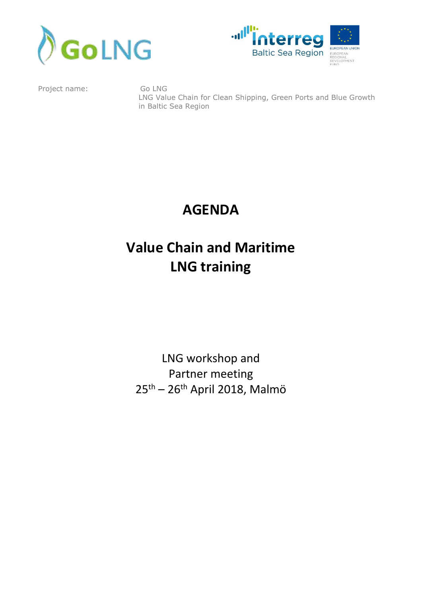



Project name: Go LNG

LNG Value Chain for Clean Shipping, Green Ports and Blue Growth in Baltic Sea Region

# **AGENDA**

# **Value Chain and Maritime LNG training**

LNG workshop and Partner meeting 25<sup>th</sup> – 26<sup>th</sup> April 2018, Malmö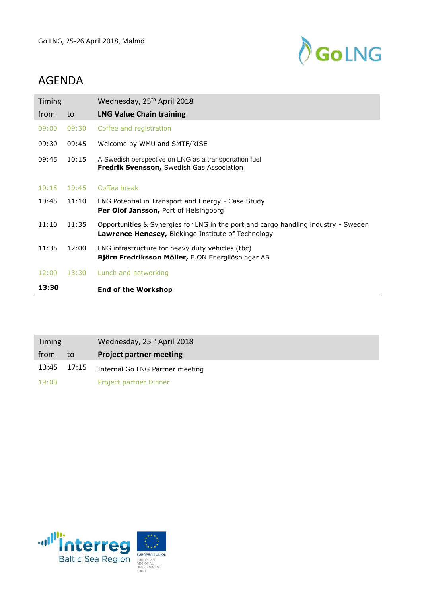Go LNG, 25-26 April 2018, Malmö



### AGENDA

| Timing |       | Wednesday, 25 <sup>th</sup> April 2018                                                                                                          |  |  |
|--------|-------|-------------------------------------------------------------------------------------------------------------------------------------------------|--|--|
| from   | to    | <b>LNG Value Chain training</b>                                                                                                                 |  |  |
| 09:00  | 09:30 | Coffee and registration                                                                                                                         |  |  |
| 09:30  | 09:45 | Welcome by WMU and SMTF/RISE                                                                                                                    |  |  |
| 09:45  | 10:15 | A Swedish perspective on LNG as a transportation fuel<br><b>Fredrik Svensson, Swedish Gas Association</b>                                       |  |  |
| 10:15  | 10:45 | Coffee break                                                                                                                                    |  |  |
| 10:45  | 11:10 | LNG Potential in Transport and Energy - Case Study<br>Per Olof Jansson, Port of Helsingborg                                                     |  |  |
| 11:10  | 11:35 | Opportunities & Synergies for LNG in the port and cargo handling industry - Sweden<br><b>Lawrence Henesey, Blekinge Institute of Technology</b> |  |  |
| 11:35  | 12:00 | LNG infrastructure for heavy duty vehicles (tbc)<br>Björn Fredriksson Möller, E.ON Energilösningar AB                                           |  |  |
| 12:00  | 13:30 | Lunch and networking                                                                                                                            |  |  |
| 13:30  |       | <b>End of the Workshop</b>                                                                                                                      |  |  |

| Timing |             | Wednesday, 25 <sup>th</sup> April 2018 |
|--------|-------------|----------------------------------------|
| trom   | to          | <b>Project partner meeting</b>         |
|        | 13:45 17:15 | Internal Go LNG Partner meeting        |
| 19:00  |             | Project partner Dinner                 |

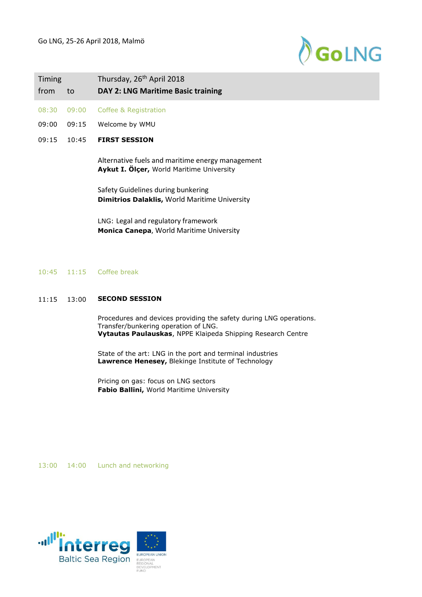Go LNG, 25-26 April 2018, Malmö



| Timing |            | Thursday, 26 <sup>th</sup> April 2018 |
|--------|------------|---------------------------------------|
| from   | $-$ to $-$ | DAY 2: LNG Maritime Basic training    |

- 08:30 09:00 Coffee & Registration
- 09:00 09:15 Welcome by WMU

#### 09:15 10:45 **FIRST SESSION**

Alternative fuels and maritime energy management **Aykut I. Ölçer,** World Maritime University

Safety Guidelines during bunkering **Dimitrios Dalaklis,** World Maritime University

LNG: [Legal and regulatory framework](http://www.fluxys.com/belgium/en/About%20Fluxys/LegalAndRegulatoryFramework/LegalAndRegulatoryFramework) **Monica Canepa**, World Maritime University

#### 10:45 11:15 Coffee break

#### 11:15 13:00 **SECOND SESSION**

Procedures and devices providing the safety during LNG operations. Transfer/bunkering operation of LNG. **Vytautas Paulauskas**, NPPE Klaipeda Shipping Research Centre

State of the art: LNG in the port and terminal industries **Lawrence Henesey,** Blekinge Institute of Technology

Pricing on gas: focus on LNG sectors **Fabio Ballini,** World Maritime University

13:00 14:00 Lunch and networking